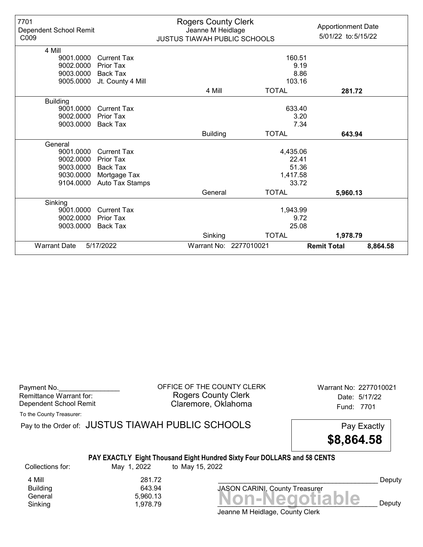| 7701<br>Dependent School Remit<br>C <sub>009</sub> |                    | <b>Rogers County Clerk</b><br>Jeanne M Heidlage<br>JUSTUS TIAWAH PUBLIC SCHOOLS |                        | <b>Apportionment Date</b><br>5/01/22 to:5/15/22 |
|----------------------------------------------------|--------------------|---------------------------------------------------------------------------------|------------------------|-------------------------------------------------|
| 4 Mill                                             |                    |                                                                                 |                        |                                                 |
| 9001.0000                                          | <b>Current Tax</b> |                                                                                 | 160.51                 |                                                 |
| 9002.0000                                          | <b>Prior Tax</b>   |                                                                                 |                        | 9.19                                            |
| 9003.0000                                          | Back Tax           |                                                                                 |                        | 8.86                                            |
| 9005.0000                                          | Jt. County 4 Mill  |                                                                                 | 103.16                 |                                                 |
|                                                    |                    | 4 Mill                                                                          | <b>TOTAL</b>           | 281.72                                          |
| <b>Building</b>                                    |                    |                                                                                 |                        |                                                 |
| 9001.0000                                          | <b>Current Tax</b> |                                                                                 | 633.40                 |                                                 |
| 9002.0000                                          | <b>Prior Tax</b>   |                                                                                 |                        | 3.20                                            |
| 9003.0000                                          | <b>Back Tax</b>    |                                                                                 |                        | 7.34                                            |
|                                                    |                    | <b>Building</b>                                                                 | <b>TOTAL</b>           | 643.94                                          |
| General                                            |                    |                                                                                 |                        |                                                 |
| 9001.0000                                          | Current Tax        |                                                                                 | 4,435.06               |                                                 |
| 9002.0000                                          | Prior Tax          |                                                                                 | 22.41                  |                                                 |
| 9003.0000                                          | <b>Back Tax</b>    |                                                                                 | 51.36                  |                                                 |
| 9030.0000                                          | Mortgage Tax       |                                                                                 | 1,417.58               |                                                 |
| 9104.0000                                          | Auto Tax Stamps    |                                                                                 | 33.72                  |                                                 |
|                                                    |                    | General                                                                         | <b>TOTAL</b>           | 5,960.13                                        |
| Sinking                                            |                    |                                                                                 |                        |                                                 |
| 9001.0000                                          | <b>Current Tax</b> | 1,943.99                                                                        |                        |                                                 |
| 9002.0000                                          | Prior Tax          | 9.72                                                                            |                        |                                                 |
| 9003.0000                                          | <b>Back Tax</b>    |                                                                                 | 25.08                  |                                                 |
|                                                    |                    | Sinking                                                                         | <b>TOTAL</b>           | 1,978.79                                        |
| <b>Warrant Date</b>                                | 5/17/2022          |                                                                                 | Warrant No: 2277010021 | <b>Remit Total</b><br>8,864.58                  |

Remittance Warrant for:<br>Dependent School Remit

Payment No. 2277010021 CONTICE OF THE COUNTY CLERK Warrant No: 2277010021 Rogers County Clerk **Date:** 5/17/22 Dependent School Remit **Example 20 Fund: 7701** Claremore, Oklahoma

To the County Treasurer:

|                  |             | Pay to the Order of: JUSTUS TIAWAH PUBLIC SCHOOLS                               | Pay Exactly |
|------------------|-------------|---------------------------------------------------------------------------------|-------------|
|                  |             |                                                                                 | \$8,864.58  |
|                  |             | <b>PAY EXACTLY Eight Thousand Eight Hundred Sixty Four DOLLARS and 58 CENTS</b> |             |
| Collections for: | May 1, 2022 | to May 15, 2022                                                                 |             |

Deputy

Banding<br>General 5,960.13 **Non-Negotiable** Sinking and  $1,978.79$  and  $1,978.79$  and  $1,978.79$  and  $1,978.79$  and  $1,978.79$  and  $1,978.79$  and  $1,978.79$  and  $1,978.79$  and  $1,978.79$  and  $1,978.79$  and  $1,978.79$  and  $1,978.79$  and  $1,978.79$  and  $1,978.79$  and 4 Mill 281.72<br>Building 643.94 Building 643.94<br>General 5,960.13

Jeanne M Heidlage, County Clerk

JASON CARINI, County Treasurer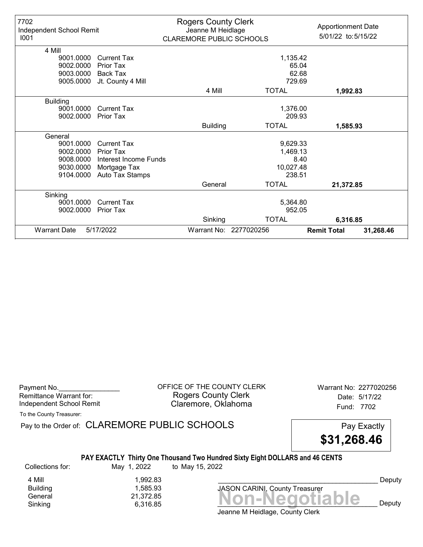| 7702<br>Independent School Remit<br>1001 |                       | <b>Rogers County Clerk</b><br>Jeanne M Heidlage<br><b>CLAREMORE PUBLIC SCHOOLS</b> |                        | <b>Apportionment Date</b><br>5/01/22 to:5/15/22 |
|------------------------------------------|-----------------------|------------------------------------------------------------------------------------|------------------------|-------------------------------------------------|
| 4 Mill                                   |                       |                                                                                    |                        |                                                 |
| 9001.0000                                | <b>Current Tax</b>    |                                                                                    | 1,135.42               |                                                 |
| 9002.0000                                | Prior Tax             |                                                                                    | 65.04                  |                                                 |
| 9003.0000                                | <b>Back Tax</b>       |                                                                                    | 62.68                  |                                                 |
| 9005.0000                                | Jt. County 4 Mill     |                                                                                    | 729.69                 |                                                 |
|                                          |                       | 4 Mill                                                                             | <b>TOTAL</b>           | 1,992.83                                        |
| <b>Building</b>                          |                       |                                                                                    |                        |                                                 |
| 9001.0000                                | <b>Current Tax</b>    |                                                                                    | 1,376.00               |                                                 |
| 9002.0000                                | <b>Prior Tax</b>      |                                                                                    | 209.93                 |                                                 |
|                                          |                       | <b>Building</b>                                                                    | <b>TOTAL</b>           | 1,585.93                                        |
| General                                  |                       |                                                                                    |                        |                                                 |
| 9001.0000                                | <b>Current Tax</b>    |                                                                                    | 9,629.33               |                                                 |
| 9002.0000                                | Prior Tax             |                                                                                    | 1,469.13               |                                                 |
| 9008.0000                                | Interest Income Funds |                                                                                    | 8.40                   |                                                 |
| 9030.0000                                | Mortgage Tax          |                                                                                    | 10,027.48              |                                                 |
| 9104.0000                                | Auto Tax Stamps       |                                                                                    | 238.51                 |                                                 |
|                                          |                       | General                                                                            | <b>TOTAL</b>           | 21,372.85                                       |
| Sinking                                  |                       |                                                                                    |                        |                                                 |
| 9001.0000                                | Current Tax           |                                                                                    | 5,364.80               |                                                 |
| 9002.0000                                | <b>Prior Tax</b>      |                                                                                    | 952.05                 |                                                 |
|                                          |                       | Sinking                                                                            | <b>TOTAL</b>           | 6,316.85                                        |
| <b>Warrant Date</b>                      | 5/17/2022             |                                                                                    | Warrant No: 2277020256 | <b>Remit Total</b><br>31,268.46                 |

Payment No. 2277020256 CORPICE OF THE COUNTY CLERK Warrant No: 2277020256 Rogers County Clerk Date: 5/17/22 Independent School Remit **Claremore, Oklahoma** Fund: 7702

To the County Treasurer:

Pay to the Order of: CLAREMORE PUBLIC SCHOOLS Pay Exactly



### PAY EXACTLY Thirty One Thousand Two Hundred Sixty Eight DOLLARS and 46 CENTS

Collections for: May 1, 2022 to May 15, 2022

General 21,372.85<br>General 21,372.85 **Non-Negotiable** 4 Mill 1,992.83<br>Building 1,585.93 1,585.93

Jeanne M Heidlage, County Clerk Sinking  $6,316.85$   $\blacksquare$   $\blacksquare$   $\blacksquare$   $\blacksquare$   $\blacksquare$   $\blacksquare$   $\blacksquare$   $\blacksquare$   $\blacksquare$   $\blacksquare$   $\blacksquare$   $\blacksquare$   $\blacksquare$   $\blacksquare$   $\blacksquare$   $\blacksquare$   $\blacksquare$   $\blacksquare$   $\blacksquare$   $\blacksquare$   $\blacksquare$   $\blacksquare$   $\blacksquare$   $\blacksquare$   $\blacksquare$   $\blacksquare$   $\blacksquare$   $\blacksquare$   $\blacksquare$ 

JASON CARINI, County Treasurer

Deputy

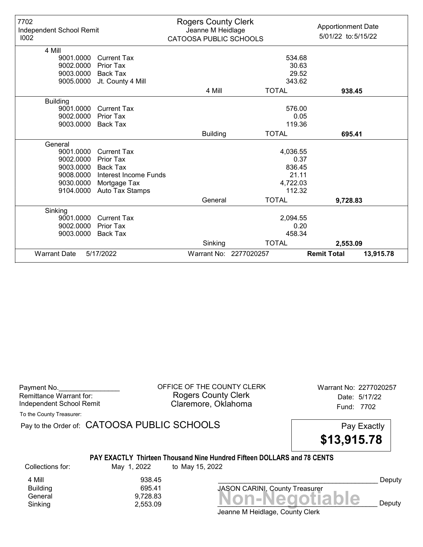| 7702<br>Independent School Remit<br>1002 |                       | <b>Rogers County Clerk</b><br>Jeanne M Heidlage<br><b>CATOOSA PUBLIC SCHOOLS</b> |                        | <b>Apportionment Date</b><br>5/01/22 to:5/15/22 |
|------------------------------------------|-----------------------|----------------------------------------------------------------------------------|------------------------|-------------------------------------------------|
| 4 Mill                                   |                       |                                                                                  |                        |                                                 |
| 9001.0000                                | <b>Current Tax</b>    |                                                                                  |                        | 534.68                                          |
| 9002.0000                                | <b>Prior Tax</b>      |                                                                                  |                        | 30.63                                           |
| 9003.0000                                | <b>Back Tax</b>       |                                                                                  |                        | 29.52                                           |
| 9005.0000                                | Jt. County 4 Mill     |                                                                                  |                        | 343.62                                          |
|                                          |                       | 4 Mill                                                                           | <b>TOTAL</b>           | 938.45                                          |
| <b>Building</b>                          |                       |                                                                                  |                        |                                                 |
| 9001.0000                                | <b>Current Tax</b>    |                                                                                  |                        | 576.00                                          |
| 9002.0000                                | Prior Tax             |                                                                                  |                        | 0.05                                            |
| 9003.0000                                | <b>Back Tax</b>       | 119.36                                                                           |                        |                                                 |
|                                          |                       | <b>Building</b>                                                                  | <b>TOTAL</b>           | 695.41                                          |
| General                                  |                       |                                                                                  |                        |                                                 |
| 9001.0000                                | <b>Current Tax</b>    |                                                                                  | 4,036.55               |                                                 |
| 9002.0000                                | Prior Tax             |                                                                                  |                        | 0.37                                            |
| 9003.0000                                | Back Tax              |                                                                                  |                        | 836.45                                          |
| 9008.0000                                | Interest Income Funds |                                                                                  |                        | 21.11                                           |
| 9030.0000                                | Mortgage Tax          |                                                                                  | 4,722.03               |                                                 |
| 9104.0000                                | Auto Tax Stamps       |                                                                                  |                        | 112.32                                          |
|                                          |                       | General                                                                          | <b>TOTAL</b>           | 9,728.83                                        |
| Sinking                                  |                       |                                                                                  |                        |                                                 |
| 9001.0000                                | <b>Current Tax</b>    |                                                                                  | 2,094.55               |                                                 |
| 9002.0000                                | <b>Prior Tax</b>      | 0.20                                                                             |                        |                                                 |
| 9003.0000                                | <b>Back Tax</b>       | 458.34                                                                           |                        |                                                 |
|                                          |                       | Sinking                                                                          | <b>TOTAL</b>           | 2,553.09                                        |
| <b>Warrant Date</b>                      | 5/17/2022             |                                                                                  | Warrant No: 2277020257 | <b>Remit Total</b><br>13,915.78                 |

| Payment No.              |  |
|--------------------------|--|
| Remittance Warrant for:  |  |
| Independent School Remit |  |

OFFICE OF THE COUNTY CLERK Warrant No: 2277020257 Rogers County Clerk Date: 5/17/22 Claremore, Oklahoma<br>
Fund: 7702

To the County Treasurer:

Pay to the Order of: CATOOSA PUBLIC SCHOOLS Pay Exactly

\$13,915.78

#### PAY EXACTLY Thirteen Thousand Nine Hundred Fifteen DOLLARS and 78 CENTS

Collections for: May 1, 2022 to May 15, 2022

Building

4 Mill 938.45<br>Building 695.41

Banding<br>General 9,728.83<br>Sinking 2,553.09 **Non-Negotiable** Sinking  $2,553.09$  **NUIFNCYULIANIC** Deputy JASON CARINI, County Treasurer

Deputy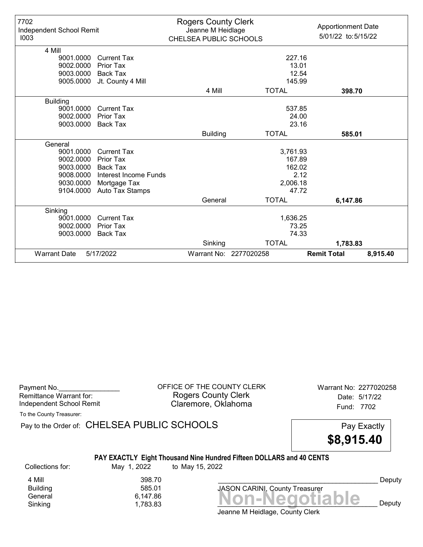| 7702<br>Independent School Remit<br>1003 |                       | <b>Rogers County Clerk</b><br>Jeanne M Heidlage<br>CHELSEA PUBLIC SCHOOLS |                        | <b>Apportionment Date</b><br>5/01/22 to:5/15/22 |
|------------------------------------------|-----------------------|---------------------------------------------------------------------------|------------------------|-------------------------------------------------|
| 4 Mill                                   |                       |                                                                           |                        |                                                 |
| 9001.0000                                | <b>Current Tax</b>    |                                                                           | 227.16                 |                                                 |
| 9002.0000                                | <b>Prior Tax</b>      |                                                                           | 13.01                  |                                                 |
| 9003.0000                                | <b>Back Tax</b>       |                                                                           | 12.54                  |                                                 |
| 9005.0000                                | Jt. County 4 Mill     |                                                                           | 145.99                 |                                                 |
|                                          |                       | 4 Mill                                                                    | <b>TOTAL</b>           | 398.70                                          |
| <b>Building</b>                          |                       |                                                                           |                        |                                                 |
| 9001.0000                                | <b>Current Tax</b>    |                                                                           | 537.85                 |                                                 |
| 9002.0000                                | <b>Prior Tax</b>      |                                                                           | 24.00                  |                                                 |
| 9003.0000                                | Back Tax              |                                                                           | 23.16                  |                                                 |
|                                          |                       | <b>Building</b>                                                           | <b>TOTAL</b>           | 585.01                                          |
| General                                  |                       |                                                                           |                        |                                                 |
| 9001.0000                                | <b>Current Tax</b>    |                                                                           | 3,761.93               |                                                 |
| 9002.0000                                | Prior Tax             |                                                                           | 167.89                 |                                                 |
| 9003.0000                                | <b>Back Tax</b>       |                                                                           | 162.02                 |                                                 |
| 9008.0000                                | Interest Income Funds |                                                                           |                        | 2.12                                            |
| 9030.0000                                | Mortgage Tax          |                                                                           | 2,006.18               |                                                 |
| 9104.0000                                | Auto Tax Stamps       |                                                                           | 47.72                  |                                                 |
|                                          |                       | General                                                                   | <b>TOTAL</b>           | 6,147.86                                        |
| Sinking                                  |                       |                                                                           |                        |                                                 |
| 9001.0000                                | <b>Current Tax</b>    |                                                                           | 1,636.25               |                                                 |
| 9002.0000                                | <b>Prior Tax</b>      |                                                                           |                        | 73.25                                           |
| 9003.0000                                | Back Tax              |                                                                           |                        | 74.33                                           |
|                                          |                       | Sinking                                                                   | <b>TOTAL</b>           | 1,783.83                                        |
| <b>Warrant Date</b>                      | 5/17/2022             |                                                                           | Warrant No: 2277020258 | <b>Remit Total</b><br>8,915.40                  |

| Payment No.<br>Remittance Warrant for:<br>Independent School Remit<br>To the County Treasurer: |                                             | OFFICE OF THE COUNTY CLERK<br><b>Rogers County Clerk</b><br>Claremore, Oklahoma         | Warrant No: 2277020258<br>Date: 5/17/22<br>Fund: 7702 |
|------------------------------------------------------------------------------------------------|---------------------------------------------|-----------------------------------------------------------------------------------------|-------------------------------------------------------|
|                                                                                                | Pay to the Order of: CHELSEA PUBLIC SCHOOLS |                                                                                         | Pay Exactly<br>\$8,915.40                             |
| Collections for:                                                                               | May 1, 2022                                 | PAY EXACTLY Eight Thousand Nine Hundred Fifteen DOLLARS and 40 CENTS<br>to May 15, 2022 |                                                       |
| 4 Mill<br><b>Building</b><br>General<br>Sinking                                                | 398.70<br>585.01<br>6,147.86<br>1,783.83    | <b>JASON CARINI, County Treasurer</b><br>Jeanne M Heidlage, County Clerk                | Deputy<br>von-Negotiable<br>Deputy                    |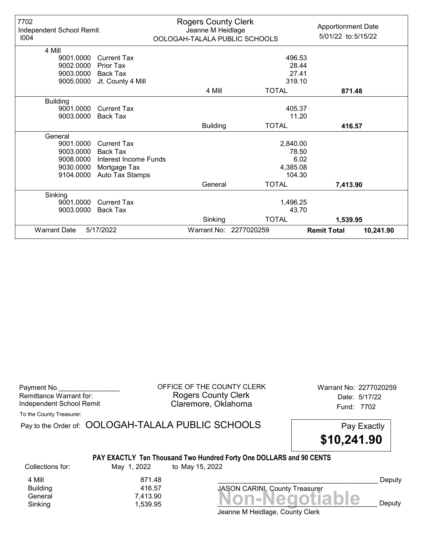| 7702<br>Independent School Remit |                       | <b>Rogers County Clerk</b><br>Jeanne M Heidlage |                               | <b>Apportionment Date</b>       |
|----------------------------------|-----------------------|-------------------------------------------------|-------------------------------|---------------------------------|
| 1004                             |                       |                                                 | OOLOGAH-TALALA PUBLIC SCHOOLS | 5/01/22 to: 5/15/22             |
| 4 Mill                           |                       |                                                 |                               |                                 |
| 9001.0000                        | <b>Current Tax</b>    |                                                 | 496.53                        |                                 |
| 9002.0000                        | Prior Tax             |                                                 | 28.44                         |                                 |
| 9003.0000                        | Back Tax              |                                                 | 27.41                         |                                 |
| 9005.0000                        |                       |                                                 | 319.10                        |                                 |
|                                  | Jt. County 4 Mill     |                                                 |                               |                                 |
|                                  |                       | 4 Mill                                          | <b>TOTAL</b>                  | 871.48                          |
| <b>Building</b>                  |                       |                                                 |                               |                                 |
| 9001.0000                        | <b>Current Tax</b>    |                                                 | 405.37                        |                                 |
| 9003.0000                        | Back Tax              |                                                 | 11.20                         |                                 |
|                                  |                       | <b>Building</b>                                 | <b>TOTAL</b>                  | 416.57                          |
| General                          |                       |                                                 |                               |                                 |
| 9001.0000                        | <b>Current Tax</b>    |                                                 | 2,840.00                      |                                 |
| 9003.0000                        | <b>Back Tax</b>       |                                                 | 78.50                         |                                 |
| 9008.0000                        | Interest Income Funds |                                                 | 6.02                          |                                 |
| 9030.0000                        | Mortgage Tax          |                                                 | 4,385.08                      |                                 |
| 9104.0000                        | Auto Tax Stamps       |                                                 | 104.30                        |                                 |
|                                  |                       | General                                         | <b>TOTAL</b>                  | 7,413.90                        |
| Sinking                          |                       |                                                 |                               |                                 |
| 9001.0000                        | <b>Current Tax</b>    |                                                 | 1,496.25                      |                                 |
| 9003.0000                        | Back Tax              |                                                 | 43.70                         |                                 |
|                                  |                       | Sinking                                         | <b>TOTAL</b>                  | 1,539.95                        |
| <b>Warrant Date</b>              | 5/17/2022             |                                                 | Warrant No: 2277020259        | <b>Remit Total</b><br>10,241.90 |

| Payment No.              |  |
|--------------------------|--|
| Remittance Warrant for:  |  |
| Independent School Remit |  |

OFFICE OF THE COUNTY CLERK Warrant No: 2277020259 Rogers County Clerk **Date:** 5/17/22 Independent School Remit **Example: 2008** Claremore, Oklahoma **Independent School Remit** 

To the County Treasurer:

|                           |                  | Pay to the Order of: OOLOGAH-TALALA PUBLIC SCHOOLS                                     | Pay Exactly<br>\$10,241.90 |        |
|---------------------------|------------------|----------------------------------------------------------------------------------------|----------------------------|--------|
| Collections for:          | May 1, 2022      | PAY EXACTLY Ten Thousand Two Hundred Forty One DOLLARS and 90 CENTS<br>to May 15, 2022 |                            |        |
| 4 Mill<br><b>Building</b> | 871.48<br>416.57 | JASON CARINI, County Treasurer                                                         |                            | Deputy |
| General                   | 7,413.90         |                                                                                        | on-Negotiah                |        |

Jeanne M Heidlage, County Clerk Banding<br>General 7,413.90<br>Sinking 1,539.95 **Non-Negotiable** Sinking and  $\overline{1,539.95}$  and  $\overline{1,539.95}$  and  $\overline{1,539.95}$  and  $\overline{1,539.95}$  and  $\overline{1,539.95}$  and  $\overline{1,539.95}$  and  $\overline{1,539.95}$  and  $\overline{1,539.95}$  and  $\overline{1,539.95}$  and  $\overline{1,539.95}$  and  $\overline{1,53$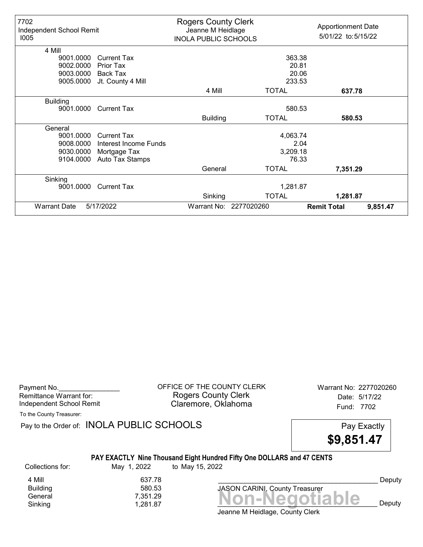| 7702<br>Independent School Remit<br>1005 |                       | <b>Rogers County Clerk</b><br>Jeanne M Heidlage<br><b>INOLA PUBLIC SCHOOLS</b> |                        | <b>Apportionment Date</b><br>5/01/22 to: 5/15/22 |          |
|------------------------------------------|-----------------------|--------------------------------------------------------------------------------|------------------------|--------------------------------------------------|----------|
| 4 Mill                                   |                       |                                                                                |                        |                                                  |          |
| 9001.0000                                | <b>Current Tax</b>    |                                                                                | 363.38                 |                                                  |          |
| 9002.0000                                | <b>Prior Tax</b>      |                                                                                | 20.81                  |                                                  |          |
| 9003.0000                                | Back Tax              |                                                                                | 20.06                  |                                                  |          |
| 9005.0000                                | Jt. County 4 Mill     |                                                                                | 233.53                 |                                                  |          |
|                                          |                       | 4 Mill                                                                         | <b>TOTAL</b>           | 637.78                                           |          |
| <b>Building</b>                          |                       |                                                                                |                        |                                                  |          |
| 9001.0000                                | <b>Current Tax</b>    |                                                                                | 580.53                 |                                                  |          |
|                                          |                       | <b>Building</b>                                                                | <b>TOTAL</b>           | 580.53                                           |          |
| General                                  |                       |                                                                                |                        |                                                  |          |
| 9001.0000                                | <b>Current Tax</b>    |                                                                                | 4,063.74               |                                                  |          |
| 9008.0000                                | Interest Income Funds |                                                                                | 2.04                   |                                                  |          |
| 9030.0000                                | Mortgage Tax          |                                                                                | 3,209.18               |                                                  |          |
| 9104.0000                                | Auto Tax Stamps       |                                                                                | 76.33                  |                                                  |          |
|                                          |                       | General                                                                        | <b>TOTAL</b>           | 7,351.29                                         |          |
| Sinking                                  |                       |                                                                                |                        |                                                  |          |
| 9001.0000                                | <b>Current Tax</b>    |                                                                                | 1,281.87               |                                                  |          |
|                                          |                       | Sinking                                                                        | <b>TOTAL</b>           | 1,281.87                                         |          |
| <b>Warrant Date</b>                      | 5/17/2022             |                                                                                | Warrant No: 2277020260 | <b>Remit Total</b>                               | 9,851.47 |

Payment No. 2277020260 CHEICE OF THE COUNTY CLERK Warrant No: 2277020260 Rogers County Clerk Date: 5/17/22 Independent School Remit Claremore, Oklahoma Fund: 7702

To the County Treasurer:

Pay to the Order of: INOLA PUBLIC SCHOOLS Pay Exactly

\$9,851.47

### PAY EXACTLY Nine Thousand Eight Hundred Fifty One DOLLARS and 47 CENTS

Collections for: May 1, 2022 to May 15, 2022

Building

Banding<br>General 7,351.29 7,351.29<br>Sinking 1,281.87 **Non-Negotiable** Sinking and  $\overline{1,281.87}$  and  $\overline{1,281.87}$  and  $\overline{1,281.87}$  and  $\overline{1,281.87}$  and  $\overline{1,281.87}$  and  $\overline{1,281.87}$  and  $\overline{1,281.87}$  and  $\overline{1,281.87}$  and  $\overline{1,281.87}$  and  $\overline{1,281.87}$  and  $\overline{1,28$ 4 Mill 637.78<br>Building 580.53

JASON CARINI, County Treasurer

Deputy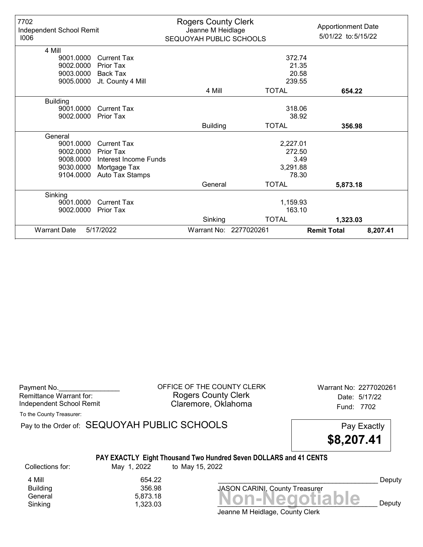| 7702<br>Independent School Remit<br>1006 |                       | <b>Rogers County Clerk</b><br>Jeanne M Heidlage<br>SEQUOYAH PUBLIC SCHOOLS |                        | <b>Apportionment Date</b><br>5/01/22 to: 5/15/22 |
|------------------------------------------|-----------------------|----------------------------------------------------------------------------|------------------------|--------------------------------------------------|
| 4 Mill                                   |                       |                                                                            |                        |                                                  |
| 9001.0000                                | <b>Current Tax</b>    |                                                                            | 372.74                 |                                                  |
| 9002.0000                                | Prior Tax             |                                                                            | 21.35                  |                                                  |
| 9003.0000                                | Back Tax              |                                                                            | 20.58                  |                                                  |
| 9005.0000                                | Jt. County 4 Mill     |                                                                            | 239.55                 |                                                  |
|                                          |                       | 4 Mill                                                                     | <b>TOTAL</b>           | 654.22                                           |
| <b>Building</b>                          |                       |                                                                            |                        |                                                  |
| 9001.0000                                | <b>Current Tax</b>    |                                                                            | 318.06                 |                                                  |
| 9002.0000                                | <b>Prior Tax</b>      |                                                                            | 38.92                  |                                                  |
|                                          |                       | <b>Building</b>                                                            | <b>TOTAL</b>           | 356.98                                           |
| General                                  |                       |                                                                            |                        |                                                  |
| 9001.0000                                | <b>Current Tax</b>    |                                                                            | 2,227.01               |                                                  |
| 9002.0000                                | Prior Tax             |                                                                            | 272.50                 |                                                  |
| 9008.0000                                | Interest Income Funds |                                                                            | 3.49                   |                                                  |
| 9030.0000                                | Mortgage Tax          |                                                                            | 3,291.88               |                                                  |
| 9104.0000                                | Auto Tax Stamps       |                                                                            | 78.30                  |                                                  |
|                                          |                       | General                                                                    | <b>TOTAL</b>           | 5,873.18                                         |
| Sinking                                  |                       |                                                                            |                        |                                                  |
| 9001.0000                                | Current Tax           |                                                                            | 1,159.93               |                                                  |
| 9002.0000                                | <b>Prior Tax</b>      |                                                                            | 163.10                 |                                                  |
|                                          |                       | Sinking                                                                    | <b>TOTAL</b>           | 1,323.03                                         |
| <b>Warrant Date</b>                      | 5/17/2022             |                                                                            | Warrant No: 2277020261 | <b>Remit Total</b><br>8,207.41                   |

| Payment No.              |  |
|--------------------------|--|
| Remittance Warrant for:  |  |
| Independent School Remit |  |
|                          |  |

OFFICE OF THE COUNTY CLERK Warrant No: 2277020261 Rogers County Clerk Date: 5/17/22 Claremore, Oklahoma<br>
Fund: 7702

To the County Treasurer:

Pay to the Order of: SEQUOYAH PUBLIC SCHOOLS Pay to the Order of: SEQUOYAH PUBLIC SCHOOLS

\$8,207.41

### PAY EXACTLY Eight Thousand Two Hundred Seven DOLLARS and 41 CENTS

Collections for: May 1, 2022 to May 15, 2022

4 Mill 654.22<br>Building 654.22 **Building** 

Jeanne M Heidlage, County Clerk Banding<br>General 5,873.18<br>Sinking 1,323.03 **Non-Negotiable** Sinking and  $\overline{1,323.03}$  and  $\overline{1,323.03}$  and  $\overline{1,323.03}$  and  $\overline{1,323.03}$  and  $\overline{1,323.03}$  and  $\overline{1,323.03}$  and  $\overline{1,323.03}$  and  $\overline{1,323.03}$  and  $\overline{1,323.03}$  and  $\overline{1,323.03}$  and  $\overline{1,32$ 

JASON CARINI, County Treasurer

Deputy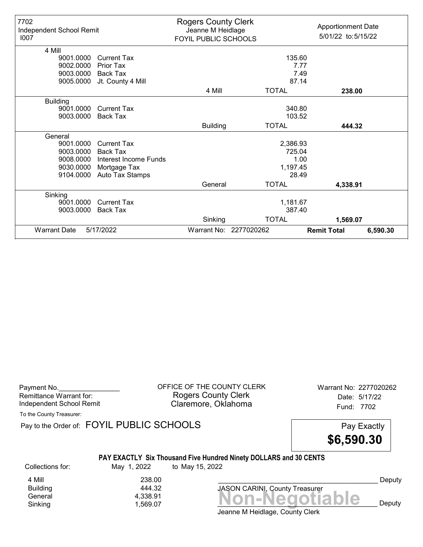| 7702<br>Independent School Remit<br>1007 |                       | <b>Rogers County Clerk</b><br>Jeanne M Heidlage<br>FOYIL PUBLIC SCHOOLS |                        | <b>Apportionment Date</b><br>5/01/22 to:5/15/22 |
|------------------------------------------|-----------------------|-------------------------------------------------------------------------|------------------------|-------------------------------------------------|
| 4 Mill                                   |                       |                                                                         |                        |                                                 |
| 9001.0000                                | <b>Current Tax</b>    |                                                                         | 135.60                 |                                                 |
| 9002.0000                                | Prior Tax             |                                                                         | 7.77                   |                                                 |
| 9003.0000                                | Back Tax              |                                                                         | 7.49                   |                                                 |
| 9005.0000                                | Jt. County 4 Mill     |                                                                         | 87.14                  |                                                 |
|                                          |                       | 4 Mill                                                                  | <b>TOTAL</b>           | 238.00                                          |
| <b>Building</b>                          |                       |                                                                         |                        |                                                 |
| 9001.0000                                | <b>Current Tax</b>    |                                                                         | 340.80                 |                                                 |
| 9003.0000                                | <b>Back Tax</b>       |                                                                         | 103.52                 |                                                 |
|                                          |                       | <b>Building</b>                                                         | <b>TOTAL</b>           | 444.32                                          |
| General                                  |                       |                                                                         |                        |                                                 |
| 9001.0000                                | <b>Current Tax</b>    |                                                                         | 2,386.93               |                                                 |
| 9003.0000                                | <b>Back Tax</b>       |                                                                         | 725.04                 |                                                 |
| 9008.0000                                | Interest Income Funds |                                                                         | 1.00                   |                                                 |
| 9030.0000                                | Mortgage Tax          |                                                                         | 1,197.45               |                                                 |
| 9104.0000                                | Auto Tax Stamps       |                                                                         | 28.49                  |                                                 |
|                                          |                       | General                                                                 | <b>TOTAL</b>           | 4,338.91                                        |
| Sinking                                  |                       |                                                                         |                        |                                                 |
| 9001.0000                                | Current Tax           |                                                                         | 1,181.67               |                                                 |
| 9003.0000                                | Back Tax              |                                                                         | 387.40                 |                                                 |
|                                          |                       | Sinking                                                                 | <b>TOTAL</b>           | 1,569.07                                        |
| <b>Warrant Date</b>                      | 5/17/2022             |                                                                         | Warrant No: 2277020262 | <b>Remit Total</b><br>6,590.30                  |

| Payment No.<br>Remittance Warrant for:<br>Independent School Remit<br>To the County Treasurer: |                                           | OFFICE OF THE COUNTY CLERK<br><b>Rogers County Clerk</b><br>Claremore, Oklahoma      | Warrant No: 2277020262<br>Date: 5/17/22<br>Fund: 7702 |                  |
|------------------------------------------------------------------------------------------------|-------------------------------------------|--------------------------------------------------------------------------------------|-------------------------------------------------------|------------------|
|                                                                                                | Pay to the Order of: FOYIL PUBLIC SCHOOLS |                                                                                      | Pay Exactly<br>\$6,590.30                             |                  |
| Collections for:                                                                               | May 1, 2022                               | PAY EXACTLY Six Thousand Five Hundred Ninety DOLLARS and 30 CENTS<br>to May 15, 2022 |                                                       |                  |
| 4 Mill<br><b>Building</b><br>General<br>Sinking                                                | 238.00<br>444.32<br>4,338.91<br>1,569.07  | Jeanne M Heidlage, County Clerk                                                      | JASON CARINI, County Treasurer<br>Non-Negotiable      | Deputy<br>Deputy |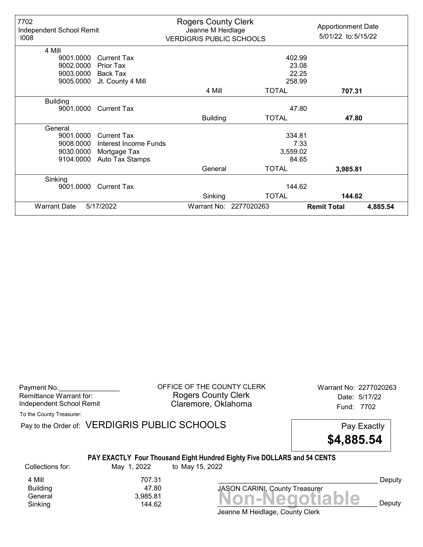| 7702<br>Independent School Remit<br>1008 |                       | <b>Rogers County Clerk</b><br>Jeanne M Heidlage<br><b>VERDIGRIS PUBLIC SCHOOLS</b> |                        | <b>Apportionment Date</b><br>5/01/22 to: 5/15/22 |
|------------------------------------------|-----------------------|------------------------------------------------------------------------------------|------------------------|--------------------------------------------------|
| 4 Mill                                   |                       |                                                                                    |                        |                                                  |
| 9001.0000                                | Current Tax           |                                                                                    | 402.99                 |                                                  |
| 9002.0000                                | Prior Tax             |                                                                                    | 23.08                  |                                                  |
| 9003.0000                                | Back Tax              |                                                                                    | 22.25                  |                                                  |
| 9005.0000                                | Jt. County 4 Mill     |                                                                                    | 258.99                 |                                                  |
|                                          |                       | 4 Mill                                                                             | <b>TOTAL</b>           | 707.31                                           |
| <b>Building</b><br>9001.0000             | <b>Current Tax</b>    |                                                                                    | 47.80                  |                                                  |
|                                          |                       | <b>Building</b>                                                                    | <b>TOTAL</b>           | 47.80                                            |
| General                                  |                       |                                                                                    |                        |                                                  |
| 9001.0000                                | <b>Current Tax</b>    |                                                                                    | 334.81                 |                                                  |
| 9008.0000                                | Interest Income Funds |                                                                                    | 7.33                   |                                                  |
| 9030.0000                                | Mortgage Tax          |                                                                                    | 3,559.02               |                                                  |
| 9104.0000                                | Auto Tax Stamps       |                                                                                    | 84.65                  |                                                  |
|                                          |                       | General                                                                            | <b>TOTAL</b>           | 3,985.81                                         |
| Sinking                                  |                       |                                                                                    |                        |                                                  |
| 9001.0000                                | <b>Current Tax</b>    |                                                                                    | 144.62                 |                                                  |
|                                          |                       | Sinking                                                                            | <b>TOTAL</b>           | 144.62                                           |
| <b>Warrant Date</b>                      | 5/17/2022             |                                                                                    | Warrant No: 2277020263 | <b>Remit Total</b><br>4,885.54                   |

Payment No. 2277020263 Rogers County Clerk Date: 5/17/22 Independent School Remit **Claremore, Oklahoma** Fund: 7702

To the County Treasurer:

Pay to the Order of: VERDIGRIS PUBLIC SCHOOLS Pay Exactly



#### PAY EXACTLY Four Thousand Eight Hundred Eighty Five DOLLARS and 54 CENTS

Collections for: May 1, 2022 to May 15, 2022 **Building** 

4 Mill 707.31<br>Building 47.80

General 3,985.81<br>
Sinking 3,985.81 **Non-Negotiable** Sinking 144.62 \_\_\_\_\_\_\_\_\_\_\_\_\_\_\_\_\_\_\_\_\_\_\_\_\_\_\_\_\_\_\_\_\_\_\_\_\_\_\_\_\_\_ Deputy JASON CARINI, County Treasurer

Deputy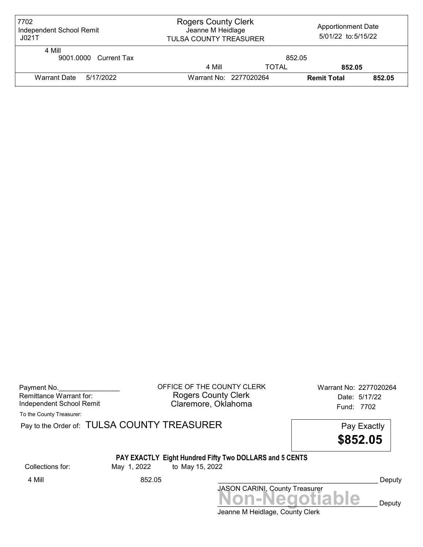| 7702<br>Independent School Remit<br>JO21T | <b>Rogers County Clerk</b><br><b>Apportionment Date</b><br>Jeanne M Heidlage<br>5/01/22 to: 5/15/22<br>TULSA COUNTY TREASURER |              |                    |        |  |
|-------------------------------------------|-------------------------------------------------------------------------------------------------------------------------------|--------------|--------------------|--------|--|
| 4 Mill<br>9001.0000 Current Tax           |                                                                                                                               | 852.05       |                    |        |  |
|                                           | 4 Mill                                                                                                                        | <b>TOTAL</b> | 852.05             |        |  |
| Warrant Date 5/17/2022                    | Warrant No: 2277020264                                                                                                        |              | <b>Remit Total</b> | 852.05 |  |

| Payment No.              |  |
|--------------------------|--|
| Remittance Warrant for:  |  |
| Independent School Remit |  |

OFFICE OF THE COUNTY CLERK Warrant No: 2277020264 Rogers County Clerk Date: 5/17/22 Claremore, Oklahoma<br>
Fund: 7702

To the County Treasurer:

Pay to the Order of: TULSA COUNTY TREASURER Pay to the Order of: TULSA COUNTY TREASURER

\$852.05

# PAY EXACTLY Eight Hundred Fifty Two DOLLARS and 5 CENTS

Collections for: May 1, 2022 to May 15, 2022

4 Mill 852.05 Deputy

Jeanne M Heidlage, County Clerk JASON CARINI, County Treasurer<br>
MON-Negotiable Deputy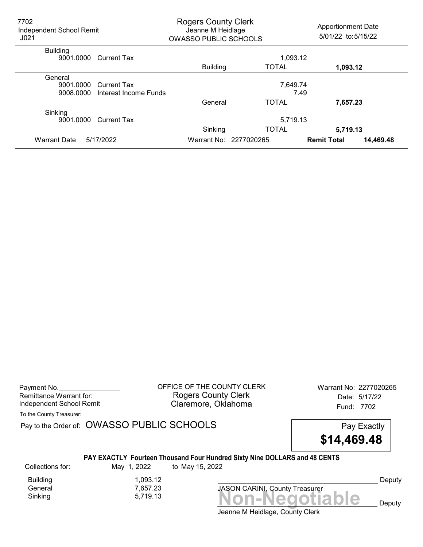| 7702<br>Independent School Remit<br>J <sub>021</sub> |                                             | <b>Rogers County Clerk</b><br>Jeanne M Heidlage<br><b>OWASSO PUBLIC SCHOOLS</b> |                        | <b>Apportionment Date</b><br>5/01/22 to: 5/15/22 |
|------------------------------------------------------|---------------------------------------------|---------------------------------------------------------------------------------|------------------------|--------------------------------------------------|
| <b>Building</b><br>9001.0000                         | <b>Current Tax</b>                          |                                                                                 | 1,093.12               |                                                  |
|                                                      |                                             | <b>Building</b>                                                                 | <b>TOTAL</b>           | 1,093.12                                         |
| General<br>9001.0000<br>9008.0000                    | <b>Current Tax</b><br>Interest Income Funds |                                                                                 | 7,649.74               | 7.49                                             |
|                                                      |                                             | General                                                                         | <b>TOTAL</b>           | 7,657.23                                         |
| Sinking<br>9001.0000                                 | <b>Current Tax</b>                          |                                                                                 | 5,719.13               |                                                  |
|                                                      |                                             | Sinking                                                                         | <b>TOTAL</b>           | 5,719.13                                         |
| <b>Warrant Date</b>                                  | 5/17/2022                                   |                                                                                 | Warrant No: 2277020265 | 14,469.48<br><b>Remit Total</b>                  |

Payment No. 2277020265 CONDUCT OF THE COUNTY CLERK Warrant No: 2277020265 Rogers County Clerk Date: 5/17/22 Independent School Remit **Claremore, Oklahoma** Fund: 7702

To the County Treasurer:

Pay to the Order of: OWASSO PUBLIC SCHOOLS Pay Exactly

\$14,469.48

### PAY EXACTLY Fourteen Thousand Four Hundred Sixty Nine DOLLARS and 48 CENTS

Collections for: May 1, 2022 to May 15, 2022

Building 1,093.12 General 7,657.23

 $Sinking$ <br> $5,719.13$ <br> $Sinking$ <br> $Sinking$ <br> $Sinking$ 

Deputy

 $\sum$   $\bigcup$   $\bigcup$   $\bigcap$   $\bigcap$   $\bigcap$   $\bigcap$ 

Jeanne M Heidlage, County Clerk

JASON CARINI, County Treasurer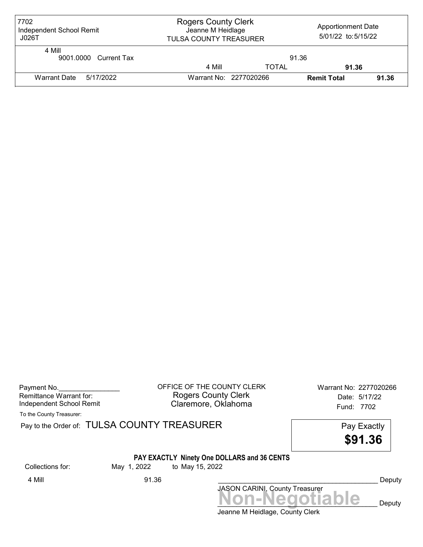| 7702<br>Independent School Remit<br>J026T | <b>Rogers County Clerk</b><br><b>Apportionment Date</b><br>Jeanne M Heidlage<br>5/01/22 to:5/15/22<br><b>TULSA COUNTY TREASURER</b> |       |                    |       |  |
|-------------------------------------------|-------------------------------------------------------------------------------------------------------------------------------------|-------|--------------------|-------|--|
| 4 Mill<br>9001.0000 Current Tax           |                                                                                                                                     | 91.36 |                    |       |  |
|                                           | 4 Mill                                                                                                                              | TOTAL | 91.36              |       |  |
| Warrant Date<br>5/17/2022                 | Warrant No: 2277020266                                                                                                              |       | <b>Remit Total</b> | 91.36 |  |

| Payment No.              |  |
|--------------------------|--|
| Remittance Warrant for:  |  |
| Independent School Remit |  |

OFFICE OF THE COUNTY CLERK Warrant No: 2277020266 Rogers County Clerk Date: 5/17/22 Claremore, Oklahoma<br>
Fund: 7702

To the County Treasurer:

Pay to the Order of: TULSA COUNTY TREASURER Pay to the Order of: TULSA COUNTY TREASURER

\$91.36

### PAY EXACTLY Ninety One DOLLARS and 36 CENTS

Collections for: May 1, 2022 to May 15, 2022

Jeanne M Heidlage, County Clerk JASON CARINI, County Treasurer<br>
MON-Negotiable Deputy 4 Mill 91.36 \_\_\_\_\_\_\_\_\_\_\_\_\_\_\_\_\_\_\_\_\_\_\_\_\_\_\_\_\_\_\_\_\_\_\_\_\_\_\_\_\_\_ Deputy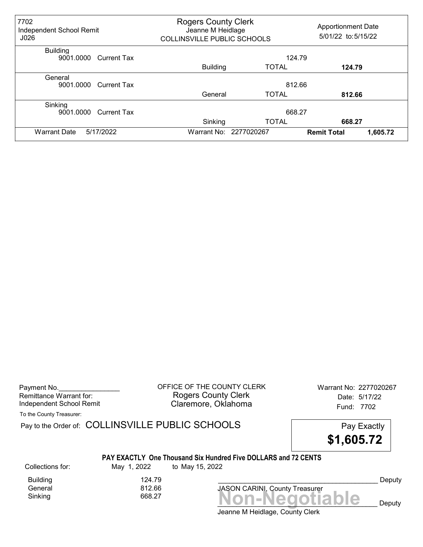| 7702<br>Independent School Remit<br>J026    | <b>Rogers County Clerk</b><br>Jeanne M Heidlage<br>COLLINSVILLE PUBLIC SCHOOLS |              | <b>Apportionment Date</b><br>5/01/22 to: 5/15/22 |
|---------------------------------------------|--------------------------------------------------------------------------------|--------------|--------------------------------------------------|
| <b>Building</b><br>9001.0000<br>Current Tax |                                                                                | 124.79       |                                                  |
|                                             | <b>Building</b>                                                                | <b>TOTAL</b> | 124.79                                           |
| General<br>9001.0000<br><b>Current Tax</b>  |                                                                                | 812.66       |                                                  |
|                                             | General                                                                        | <b>TOTAL</b> | 812.66                                           |
| Sinking<br>9001.0000<br><b>Current Tax</b>  |                                                                                | 668.27       |                                                  |
|                                             | Sinking                                                                        | <b>TOTAL</b> | 668.27                                           |
| 5/17/2022<br><b>Warrant Date</b>            | Warrant No: 2277020267                                                         |              | 1,605.72<br><b>Remit Total</b>                   |

Payment No. 2277020267<br>
OFFICE OF THE COUNTY CLERK Warrant No: 2277020267 Rogers County Clerk Date: 5/17/22 Independent School Remit Claremore, Oklahoma Fund: 7702

To the County Treasurer:

Pay to the Order of: COLLINSVILLE PUBLIC SCHOOLS Pay Exactly

\$1,605.72

#### PAY EXACTLY One Thousand Six Hundred Five DOLLARS and 72 CENTS

Collections for: May 1, 2022 to May 15, 2022

Building 124.79<br>General 125, 1266 General

 $Sinking$ <br> $Sinking$   $668.27$   $$ 

Jeanne M Heidlage, County Clerk

JASON CARINI, County Treasurer

Deputy

 $\mathbf{e}_{\text{p}}$  Deputy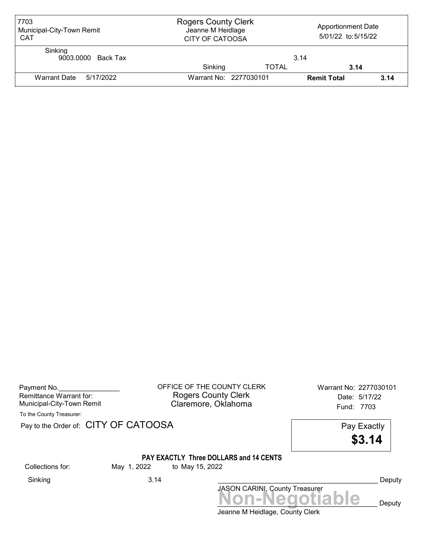| 7703<br>Municipal-City-Town Remit<br><b>CAT</b> | <b>Rogers County Clerk</b><br><b>Apportionment Date</b><br>Jeanne M Heidlage<br>5/01/22 to:5/15/22<br><b>CITY OF CATOOSA</b> |              |                    |      |
|-------------------------------------------------|------------------------------------------------------------------------------------------------------------------------------|--------------|--------------------|------|
| Sinking<br>9003.0000 Back Tax                   |                                                                                                                              |              | 3.14               |      |
|                                                 | Sinking                                                                                                                      | <b>TOTAL</b> | 3.14               |      |
| Warrant Date 5/17/2022                          | Warrant No: 2277030101                                                                                                       |              | <b>Remit Total</b> | 3.14 |

| Payment No.               |  |
|---------------------------|--|
| Remittance Warrant for:   |  |
| Municipal-City-Town Remit |  |

OFFICE OF THE COUNTY CLERK Warrant No: 2277030101 Rogers County Clerk **Date:** 5/17/22 Municipal-City-Town Remit **Example 20 Municipal-City-Town Remit** Claremore, Oklahoma

To the County Treasurer:

Pay to the Order of: CITY OF CATOOSA Pay Exactly



#### PAY EXACTLY Three DOLLARS and 14 CENTS

Collections for: May 1, 2022 to May 15, 2022

Sinking 3.14 \_\_\_\_\_\_\_\_\_\_\_\_\_\_\_\_\_\_\_\_\_\_\_\_\_\_\_\_\_\_\_\_\_\_\_\_\_\_\_\_\_\_ Deputy

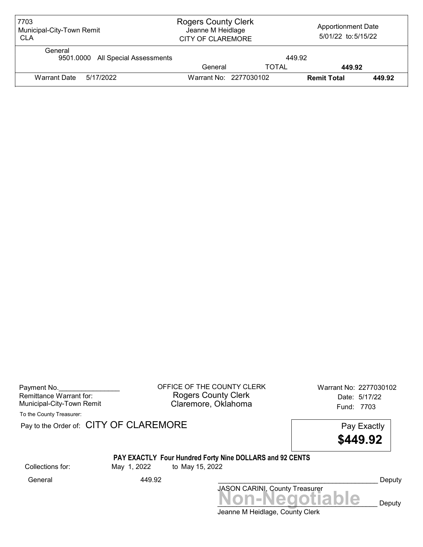| 7703<br>Municipal-City-Town Remit<br><b>CLA</b> | <b>Rogers County Clerk</b><br>Jeanne M Heidlage<br><b>CITY OF CLAREMORE</b> |              | <b>Apportionment Date</b><br>5/01/22 to: 5/15/22 |        |
|-------------------------------------------------|-----------------------------------------------------------------------------|--------------|--------------------------------------------------|--------|
| General<br>9501.0000 All Special Assessments    |                                                                             | 449.92       |                                                  |        |
|                                                 | General                                                                     | <b>TOTAL</b> | 449.92                                           |        |
| <b>Warrant Date</b><br>5/17/2022                | Warrant No: 2277030102                                                      |              | <b>Remit Total</b>                               | 449.92 |

| Payment No.               |  |
|---------------------------|--|
| Remittance Warrant for:   |  |
| Municipal-City-Town Remit |  |

OFFICE OF THE COUNTY CLERK Warrant No: 2277030102 Rogers County Clerk Date: 5/17/22 Claremore, Oklahoma<br>Fund: 7703

To the County Treasurer:

Pay to the Order of: CITY OF CLAREMORE Pay to the Order of: CITY OF CLAREMORE

\$449.92

# PAY EXACTLY Four Hundred Forty Nine DOLLARS and 92 CENTS

Collections for: May 1, 2022 to May 15, 2022

JASON CARINI, County Treasurer<br>
MON-Negotiable Deputy General 449.92 \_\_\_\_\_\_\_\_\_\_\_\_\_\_\_\_\_\_\_\_\_\_\_\_\_\_\_\_\_\_\_\_\_\_\_\_\_\_\_\_\_\_ Deputy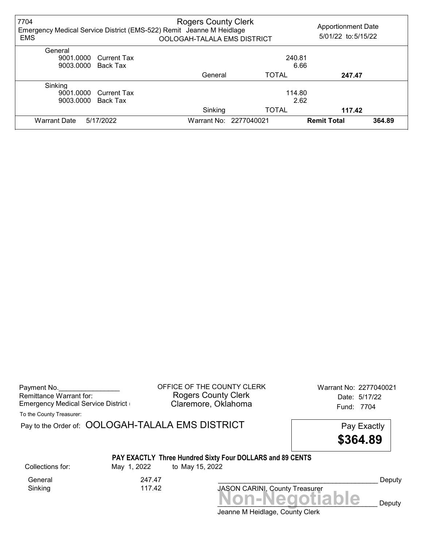| 7704<br><b>EMS</b>  |                       | <b>Rogers County Clerk</b><br>Emergency Medical Service District (EMS-522) Remit Jeanne M Heidlage<br>OOLOGAH-TALALA EMS DISTRICT |                        |                    | <b>Apportionment Date</b><br>5/01/22 to: 5/15/22 |
|---------------------|-----------------------|-----------------------------------------------------------------------------------------------------------------------------------|------------------------|--------------------|--------------------------------------------------|
| General             |                       |                                                                                                                                   |                        |                    |                                                  |
| 9001.0000           | Current Tax           |                                                                                                                                   |                        | 240.81             |                                                  |
| 9003.0000           | Back Tax              | 6.66                                                                                                                              |                        |                    |                                                  |
|                     |                       | General                                                                                                                           | <b>TOTAL</b>           | 247.47             |                                                  |
| Sinking             |                       |                                                                                                                                   |                        |                    |                                                  |
|                     | 9001.0000 Current Tax |                                                                                                                                   |                        | 114.80             |                                                  |
| 9003.0000           | Back Tax              | 2.62                                                                                                                              |                        |                    |                                                  |
|                     |                       | Sinking                                                                                                                           | <b>TOTAL</b>           | 117.42             |                                                  |
| <b>Warrant Date</b> | 5/17/2022             |                                                                                                                                   | Warrant No: 2277040021 | <b>Remit Total</b> | 364.89                                           |

| Payment No.<br>Remittance Warrant for:<br><b>Emergency Medical Service District (</b> |                                                  | OFFICE OF THE COUNTY CLERK<br><b>Rogers County Clerk</b><br>Claremore, Oklahoma                                                     | Warrant No: 2277040021<br>Date: 5/17/22<br>Fund: 7704 |
|---------------------------------------------------------------------------------------|--------------------------------------------------|-------------------------------------------------------------------------------------------------------------------------------------|-------------------------------------------------------|
| To the County Treasurer:                                                              |                                                  |                                                                                                                                     |                                                       |
|                                                                                       | Pay to the Order of: OOLOGAH-TALALA EMS DISTRICT |                                                                                                                                     | Pay Exactly                                           |
|                                                                                       |                                                  |                                                                                                                                     | \$364.89                                              |
| Collections for:                                                                      | May 1, 2022                                      | PAY EXACTLY Three Hundred Sixty Four DOLLARS and 89 CENTS<br>to May 15, 2022                                                        |                                                       |
| General<br>Sinking                                                                    | 247.47<br>117.42                                 | JASON CARINI, County Treasurer                                                                                                      | Deputy                                                |
|                                                                                       |                                                  | $\mathsf{I}$ and $\mathsf{I}$ and $\mathsf{I}$ and $\mathsf{I}$ and $\mathsf{I}$ and $\mathsf{I}$ and $\mathsf{I}$ and $\mathsf{I}$ | Non-Negotiable<br>Deputy                              |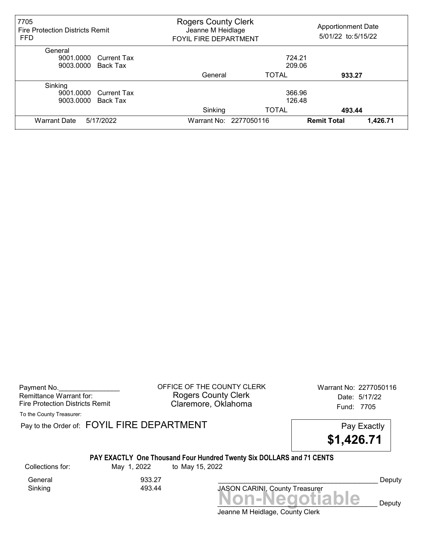| 7705<br><b>Fire Protection Districts Remit</b><br><b>FFD</b> | <b>Rogers County Clerk</b><br>Jeanne M Heidlage<br><b>FOYIL FIRE DEPARTMENT</b> |                        | <b>Apportionment Date</b><br>5/01/22 to: 5/15/22 |          |
|--------------------------------------------------------------|---------------------------------------------------------------------------------|------------------------|--------------------------------------------------|----------|
| General                                                      |                                                                                 |                        |                                                  |          |
| 9001.0000 Current Tax                                        |                                                                                 | 724.21                 |                                                  |          |
| 9003.0000 Back Tax                                           |                                                                                 | 209.06                 |                                                  |          |
|                                                              | General                                                                         | <b>TOTAL</b>           | 933.27                                           |          |
| Sinking                                                      |                                                                                 |                        |                                                  |          |
| 9001.0000 Current Tax                                        |                                                                                 | 366.96                 |                                                  |          |
| 9003.0000<br>Back Tax                                        |                                                                                 | 126.48                 |                                                  |          |
|                                                              | Sinking                                                                         | <b>TOTAL</b>           | 493.44                                           |          |
| 5/17/2022<br><b>Warrant Date</b>                             |                                                                                 | Warrant No: 2277050116 | <b>Remit Total</b>                               | 1,426.71 |

Payment No. 2277050116 Rogers County Clerk Date: 5/17/22 Fire Protection Districts Remit **Claremore, Oklahoma** Fund: 7705

To the County Treasurer:

Pay to the Order of: FOYIL FIRE DEPARTMENT FREE PAY EXACTLY



#### PAY EXACTLY One Thousand Four Hundred Twenty Six DOLLARS and 71 CENTS

Collections for: May 1, 2022 to May 15, 2022 General 933.27<br>Sinking 933.44 Sinking

Non-Negotiable Deputy JASON CARINI, County Treasurer

Deputy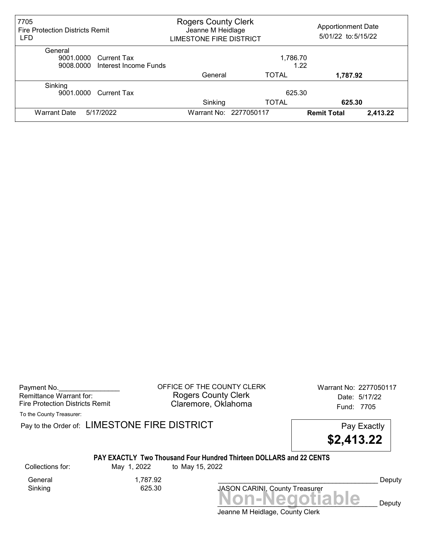| 7705<br><b>Fire Protection Districts Remit</b><br>LFD | <b>Rogers County Clerk</b><br>Jeanne M Heidlage<br><b>LIMESTONE FIRE DISTRICT</b> |                        | <b>Apportionment Date</b><br>5/01/22 to: 5/15/22 |          |
|-------------------------------------------------------|-----------------------------------------------------------------------------------|------------------------|--------------------------------------------------|----------|
| General                                               |                                                                                   |                        |                                                  |          |
| 9001.0000 Current Tax                                 |                                                                                   | 1,786.70               |                                                  |          |
| 9008.0000 Interest Income Funds                       |                                                                                   |                        | 1.22                                             |          |
|                                                       | General                                                                           | <b>TOTAL</b>           | 1,787.92                                         |          |
| Sinking                                               |                                                                                   |                        |                                                  |          |
| 9001.0000 Current Tax                                 |                                                                                   | 625.30                 |                                                  |          |
|                                                       | Sinking                                                                           | TOTAL                  | 625.30                                           |          |
| 5/17/2022<br><b>Warrant Date</b>                      |                                                                                   | Warrant No: 2277050117 | <b>Remit Total</b>                               | 2,413.22 |

Payment No. 2277050117<br>
OFFICE OF THE COUNTY CLERK Warrant No: 2277050117 Rogers County Clerk Date: 5/17/22 Fire Protection Districts Remit **Claremore, Oklahoma** Fund: 7705

To the County Treasurer:

Pay to the Order of: LIMESTONE FIRE DISTRICT Pay Exactly Pay Exactly

\$2,413.22

#### PAY EXACTLY Two Thousand Four Hundred Thirteen DOLLARS and 22 CENTS

General 1,787.92<br>Sinking 625.30 Sinking

Collections for: May 1, 2022 to May 15, 2022

Non-Negotiable Deputy JASON CARINI, County Treasurer

Deputy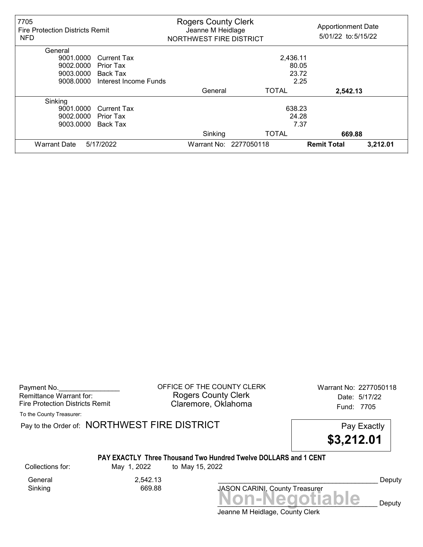| 7705<br><b>Fire Protection Districts Remit</b><br><b>NFD</b> |                       | <b>Rogers County Clerk</b><br>Jeanne M Heidlage<br>NORTHWEST FIRE DISTRICT |                        | <b>Apportionment Date</b><br>5/01/22 to: 5/15/22 |          |
|--------------------------------------------------------------|-----------------------|----------------------------------------------------------------------------|------------------------|--------------------------------------------------|----------|
| General                                                      |                       |                                                                            |                        |                                                  |          |
| 9001.0000                                                    | <b>Current Tax</b>    |                                                                            | 2,436.11               |                                                  |          |
| 9002.0000                                                    | Prior Tax             |                                                                            | 80.05                  |                                                  |          |
| 9003.0000                                                    | <b>Back Tax</b>       |                                                                            | 23.72                  |                                                  |          |
| 9008.0000                                                    | Interest Income Funds |                                                                            | 2.25                   |                                                  |          |
|                                                              |                       | General                                                                    | <b>TOTAL</b>           | 2,542.13                                         |          |
| Sinking                                                      |                       |                                                                            |                        |                                                  |          |
| 9001.0000                                                    | <b>Current Tax</b>    |                                                                            | 638.23                 |                                                  |          |
| 9002.0000                                                    | Prior Tax             |                                                                            | 24.28                  |                                                  |          |
| 9003.0000                                                    | Back Tax              |                                                                            | 7.37                   |                                                  |          |
|                                                              |                       | Sinking                                                                    | <b>TOTAL</b>           | 669.88                                           |          |
| <b>Warrant Date</b>                                          | 5/17/2022             |                                                                            | Warrant No: 2277050118 | <b>Remit Total</b>                               | 3,212.01 |

Payment No. 2277050118 COUNTY CLERK Warrant No: 2277050118 Rogers County Clerk Date: 5/17/22 Fire Protection Districts Remit **Claremore, Oklahoma** Fund: 7705

To the County Treasurer:

Pay to the Order of: NORTHWEST FIRE DISTRICT FIRE Pay Exactly

\$3,212.01

#### PAY EXACTLY Three Thousand Two Hundred Twelve DOLLARS and 1 CENT

Sinking

General 2,542.13<br>Sinking 669.88

Collections for: May 1, 2022 to May 15, 2022

Non-Negotiable Deputy JASON CARINI, County Treasurer

Deputy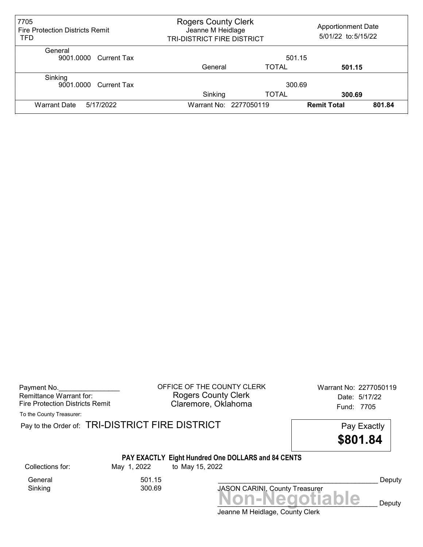| 7705<br><b>Fire Protection Districts Remit</b><br>TFD | <b>Rogers County Clerk</b><br>Jeanne M Heidlage<br>TRI-DISTRICT FIRE DISTRICT |                        | <b>Apportionment Date</b><br>5/01/22 to: 5/15/22 |        |
|-------------------------------------------------------|-------------------------------------------------------------------------------|------------------------|--------------------------------------------------|--------|
| General<br>9001.0000 Current Tax                      |                                                                               | 501.15                 |                                                  |        |
|                                                       | General                                                                       | TOTAL                  | 501.15                                           |        |
| Sinking<br>9001.0000 Current Tax                      | Sinking                                                                       | 300.69<br>TOTAL        | 300.69                                           |        |
| <b>Warrant Date</b><br>5/17/2022                      |                                                                               | Warrant No: 2277050119 | <b>Remit Total</b>                               | 801.84 |

Payment No. 2277050119 COFFICE OF THE COUNTY CLERK Warrant No: 2277050119 Rogers County Clerk Date: 5/17/22 Fire Protection Districts Remit **Claremore, Oklahoma** Fund: 7705

To the County Treasurer:

Pay to the Order of: TRI-DISTRICT FIRE DISTRICT **Pay Exactly** Pay Exactly

\$801.84

# PAY EXACTLY Eight Hundred One DOLLARS and 84 CENTS

General 501.15<br>Sinking 300.69

Sinking

Collections for: May 1, 2022 to May 15, 2022

Non-Negotiable Deputy JASON CARINI, County Treasurer

Deputy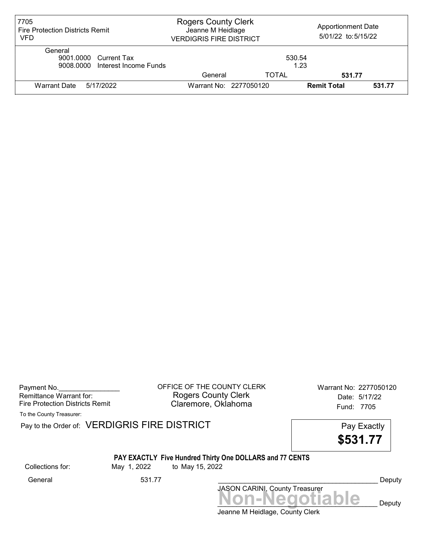| 7705<br><b>Fire Protection Districts Remit</b><br>VFD               | <b>Rogers County Clerk</b><br>Jeanne M Heidlage<br><b>VERDIGRIS FIRE DISTRICT</b> |                        | <b>Apportionment Date</b><br>5/01/22 to:5/15/22 |        |
|---------------------------------------------------------------------|-----------------------------------------------------------------------------------|------------------------|-------------------------------------------------|--------|
| General<br>9001.0000 Current Tax<br>9008,0000 Interest Income Funds |                                                                                   | 530.54                 | 1.23                                            |        |
|                                                                     | General                                                                           | TOTAL                  | 531.77                                          |        |
| Warrant Date<br>5/17/2022                                           |                                                                                   | Warrant No: 2277050120 | <b>Remit Total</b>                              | 531.77 |

Payment No. 2277050120<br>
OFFICE OF THE COUNTY CLERK Warrant No: 2277050120 Rogers County Clerk Date: 5/17/22 Fire Protection Districts Remit **Claremore, Oklahoma** Fund: 7705

To the County Treasurer:

Pay to the Order of: VERDIGRIS FIRE DISTRICT Pay to the Order of: VERDIGRIS FIRE DISTRICT

\$531.77

#### PAY EXACTLY Five Hundred Thirty One DOLLARS and 77 CENTS Collections for: May 1, 2022 to May 15, 2022

Jeanne M Heidlage, County Clerk Non-Negotiable Deputy JASON CARINI, County Treasurer General 531.77 \_\_\_\_\_\_\_\_\_\_\_\_\_\_\_\_\_\_\_\_\_\_\_\_\_\_\_\_\_\_\_\_\_\_\_\_\_\_\_\_\_\_ Deputy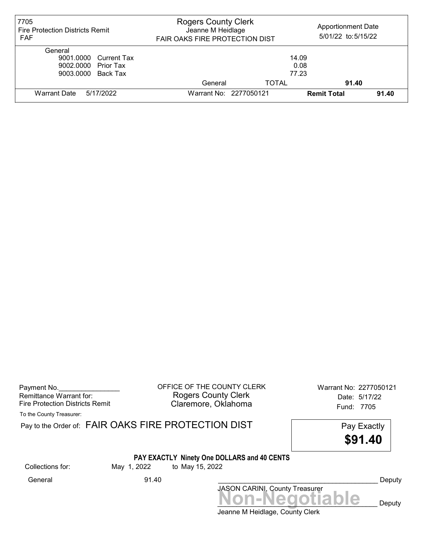| 7705<br><b>Fire Protection Districts Remit</b><br><b>FAF</b>                  | <b>Rogers County Clerk</b><br>Jeanne M Heidlage<br><b>FAIR OAKS FIRE PROTECTION DIST</b> |                        | <b>Apportionment Date</b><br>5/01/22 to: 5/15/22 |       |
|-------------------------------------------------------------------------------|------------------------------------------------------------------------------------------|------------------------|--------------------------------------------------|-------|
| General<br>9001.0000 Current Tax<br>9002.0000 Prior Tax<br>9003.0000 Back Tax |                                                                                          | 14.09<br>0.08<br>77.23 |                                                  |       |
|                                                                               | General                                                                                  | <b>TOTAL</b>           | 91.40                                            |       |
| 5/17/2022<br>Warrant Date                                                     | Warrant No: 2277050121                                                                   |                        | <b>Remit Total</b>                               | 91.40 |

Remittance Warrant for:<br>Fire Protection Districts Remit

Payment No. 2277050121 COUNTY CLERK Warrant No: 2277050121 Rogers County Clerk **Date:** 5/17/22 Fire Protection Districts Remit **Exercise Claremore, Oklahoma** Fund: 7705

To the County Treasurer:

|                  |             | Pay to the Order of: FAIR OAKS FIRE PROTECTION DIST            | Pay Exactly<br>\$91.40 |
|------------------|-------------|----------------------------------------------------------------|------------------------|
| Collections for: | May 1, 2022 | PAY EXACTLY Ninety One DOLLARS and 40 CENTS<br>to May 15, 2022 |                        |
| General          | 91.40       |                                                                | Deputy                 |
|                  |             | JASON CARINI, County Treasurer<br>Non-Negotiable               | Deputy                 |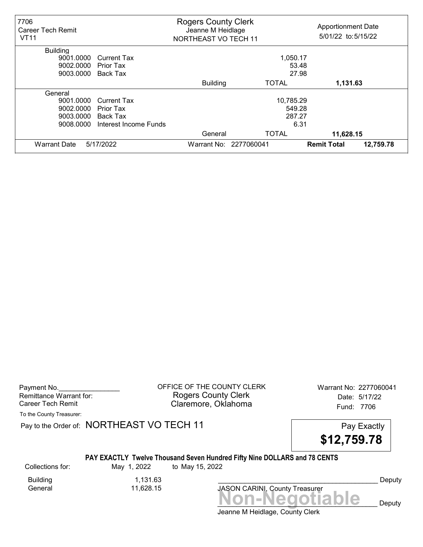| 7706<br><b>Career Tech Remit</b><br><b>VT11</b> |                       | <b>Rogers County Clerk</b><br>Jeanne M Heidlage<br>NORTHEAST VO TECH 11 |              | <b>Apportionment Date</b><br>5/01/22 to:5/15/22 |
|-------------------------------------------------|-----------------------|-------------------------------------------------------------------------|--------------|-------------------------------------------------|
| <b>Building</b>                                 |                       |                                                                         |              |                                                 |
| 9001.0000                                       | <b>Current Tax</b>    |                                                                         | 1,050.17     |                                                 |
| 9002.0000                                       | Prior Tax             |                                                                         | 53.48        |                                                 |
| 9003.0000                                       | Back Tax              |                                                                         | 27.98        |                                                 |
|                                                 |                       | <b>Building</b>                                                         | <b>TOTAL</b> | 1,131.63                                        |
| General                                         |                       |                                                                         |              |                                                 |
| 9001.0000                                       | <b>Current Tax</b>    |                                                                         | 10,785.29    |                                                 |
| 9002.0000                                       | Prior Tax             |                                                                         | 549.28       |                                                 |
| 9003.0000                                       | Back Tax              |                                                                         | 287.27       |                                                 |
| 9008.0000                                       | Interest Income Funds |                                                                         | 6.31         |                                                 |
|                                                 |                       | General                                                                 | <b>TOTAL</b> | 11,628.15                                       |
| <b>Warrant Date</b>                             | 5/17/2022             | Warrant No: 2277060041                                                  |              | 12,759.78<br><b>Remit Total</b>                 |

| Payment No.             |
|-------------------------|
| Remittance Warrant for: |
| Career Tech Remit       |

OFFICE OF THE COUNTY CLERK Warrant No: 2277060041 Rogers County Clerk Date: 5/17/22 Claremore, Oklahoma<br>
Fund: 7706

To the County Treasurer:

Pay to the Order of: NORTHEAST VO TECH 11

| Pay Exactly |
|-------------|
| \$12,759.78 |

#### PAY EXACTLY Twelve Thousand Seven Hundred Fifty Nine DOLLARS and 78 CENTS

Building 1,131.63

11,628.15

Collections for: May 1, 2022 to May 15, 2022

JASON CARINI, County Treasurer<br>
MON-Negotiable Deputy

Jeanne M Heidlage, County Clerk

Deputy